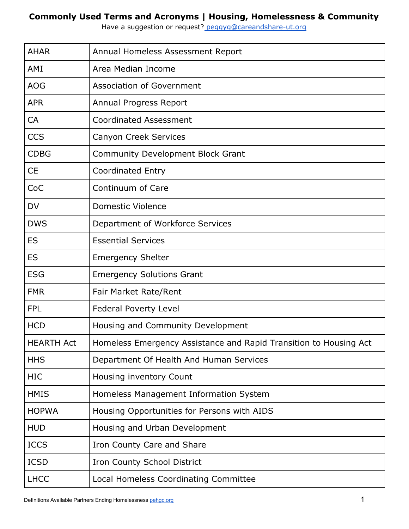Have a suggestion or request? [peggyg@careandshare-ut.org](mailto:peggyg@careandshare-ut.org)

| <b>AHAR</b>       | Annual Homeless Assessment Report                                 |
|-------------------|-------------------------------------------------------------------|
| AMI               | Area Median Income                                                |
| <b>AOG</b>        | <b>Association of Government</b>                                  |
| <b>APR</b>        | Annual Progress Report                                            |
| <b>CA</b>         | <b>Coordinated Assessment</b>                                     |
| <b>CCS</b>        | Canyon Creek Services                                             |
| <b>CDBG</b>       | <b>Community Development Block Grant</b>                          |
| <b>CE</b>         | <b>Coordinated Entry</b>                                          |
| CoC               | Continuum of Care                                                 |
| <b>DV</b>         | Domestic Violence                                                 |
| <b>DWS</b>        | Department of Workforce Services                                  |
| <b>ES</b>         | <b>Essential Services</b>                                         |
| <b>ES</b>         | <b>Emergency Shelter</b>                                          |
| <b>ESG</b>        | <b>Emergency Solutions Grant</b>                                  |
| <b>FMR</b>        | Fair Market Rate/Rent                                             |
| <b>FPL</b>        | <b>Federal Poverty Level</b>                                      |
| <b>HCD</b>        | Housing and Community Development                                 |
| <b>HEARTH Act</b> | Homeless Emergency Assistance and Rapid Transition to Housing Act |
| <b>HHS</b>        | Department Of Health And Human Services                           |
| <b>HIC</b>        | Housing inventory Count                                           |
| <b>HMIS</b>       | Homeless Management Information System                            |
| <b>HOPWA</b>      | Housing Opportunities for Persons with AIDS                       |
| <b>HUD</b>        | Housing and Urban Development                                     |
| <b>ICCS</b>       | Iron County Care and Share                                        |
| <b>ICSD</b>       | Iron County School District                                       |
| <b>LHCC</b>       | Local Homeless Coordinating Committee                             |